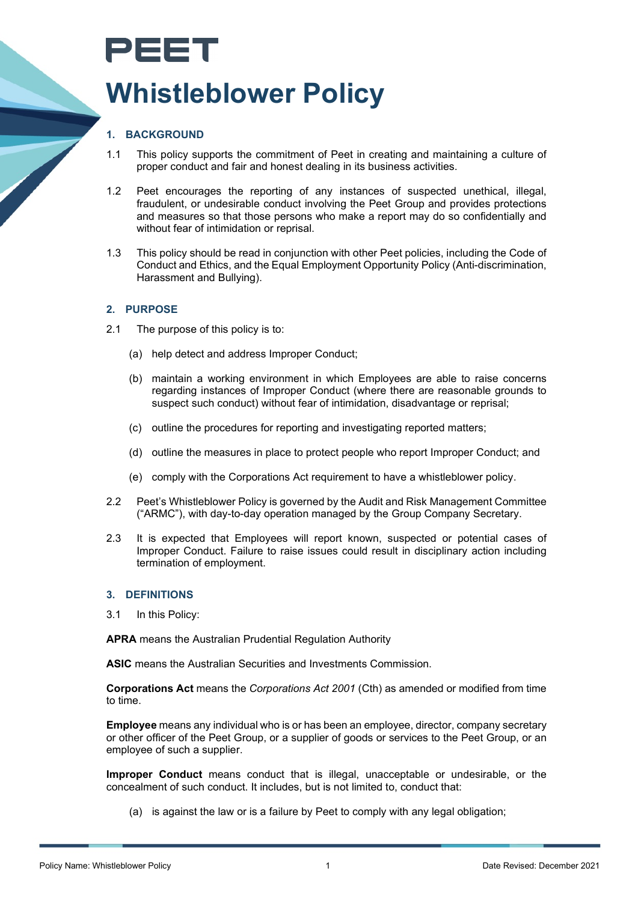# PEET **Whistleblower Policy**

# **1. BACKGROUND**

- 1.1 This policy supports the commitment of Peet in creating and maintaining a culture of proper conduct and fair and honest dealing in its business activities.
- 1.2 Peet encourages the reporting of any instances of suspected unethical, illegal, fraudulent, or undesirable conduct involving the Peet Group and provides protections and measures so that those persons who make a report may do so confidentially and without fear of intimidation or reprisal.
- 1.3 This policy should be read in conjunction with other Peet policies, including the Code of Conduct and Ethics, and the Equal Employment Opportunity Policy (Anti-discrimination, Harassment and Bullying).

# **2. PURPOSE**

- 2.1 The purpose of this policy is to:
	- (a) help detect and address Improper Conduct;
	- (b) maintain a working environment in which Employees are able to raise concerns regarding instances of Improper Conduct (where there are reasonable grounds to suspect such conduct) without fear of intimidation, disadvantage or reprisal;
	- (c) outline the procedures for reporting and investigating reported matters;
	- (d) outline the measures in place to protect people who report Improper Conduct; and
	- (e) comply with the Corporations Act requirement to have a whistleblower policy.
- 2.2 Peet's Whistleblower Policy is governed by the Audit and Risk Management Committee ("ARMC"), with day-to-day operation managed by the Group Company Secretary.
- 2.3 It is expected that Employees will report known, suspected or potential cases of Improper Conduct. Failure to raise issues could result in disciplinary action including termination of employment.

# **3. DEFINITIONS**

3.1 In this Policy:

**APRA** means the Australian Prudential Regulation Authority

**ASIC** means the Australian Securities and Investments Commission.

**Corporations Act** means the *Corporations Act 2001* (Cth) as amended or modified from time to time.

**Employee** means any individual who is or has been an employee, director, company secretary or other officer of the Peet Group, or a supplier of goods or services to the Peet Group, or an employee of such a supplier.

**Improper Conduct** means conduct that is illegal, unacceptable or undesirable, or the concealment of such conduct. It includes, but is not limited to, conduct that:

(a) is against the law or is a failure by Peet to comply with any legal obligation;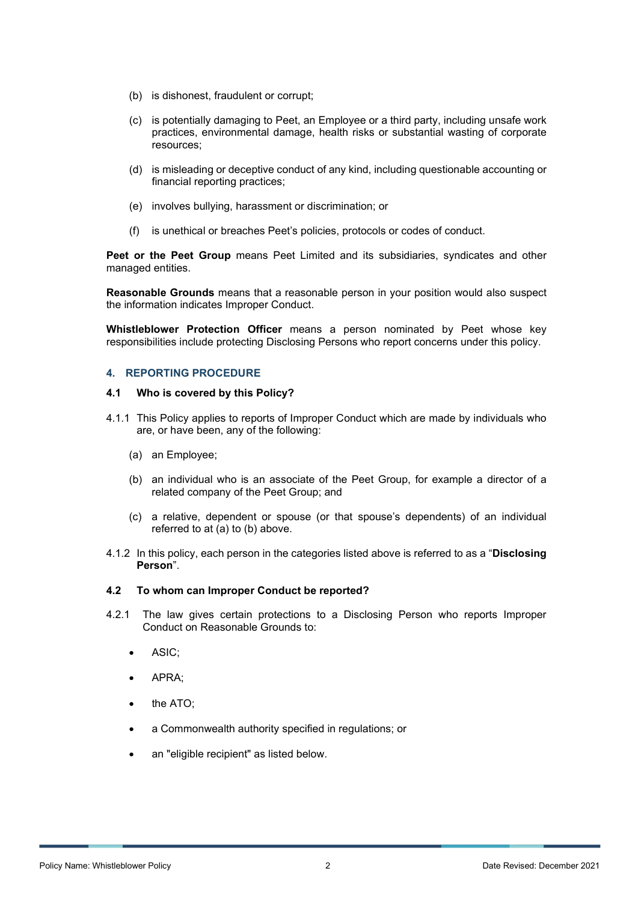- (b) is dishonest, fraudulent or corrupt;
- (c) is potentially damaging to Peet, an Employee or a third party, including unsafe work practices, environmental damage, health risks or substantial wasting of corporate resources;
- (d) is misleading or deceptive conduct of any kind, including questionable accounting or financial reporting practices;
- (e) involves bullying, harassment or discrimination; or
- (f) is unethical or breaches Peet's policies, protocols or codes of conduct.

**Peet or the Peet Group** means Peet Limited and its subsidiaries, syndicates and other managed entities.

**Reasonable Grounds** means that a reasonable person in your position would also suspect the information indicates Improper Conduct.

**Whistleblower Protection Officer** means a person nominated by Peet whose key responsibilities include protecting Disclosing Persons who report concerns under this policy.

## **4. REPORTING PROCEDURE**

#### **4.1 Who is covered by this Policy?**

- 4.1.1 This Policy applies to reports of Improper Conduct which are made by individuals who are, or have been, any of the following:
	- (a) an Employee;
	- (b) an individual who is an associate of the Peet Group, for example a director of a related company of the Peet Group; and
	- (c) a relative, dependent or spouse (or that spouse's dependents) of an individual referred to at (a) to (b) above.
- 4.1.2 In this policy, each person in the categories listed above is referred to as a "**Disclosing Person**".

# **4.2 To whom can Improper Conduct be reported?**

- 4.2.1 The law gives certain protections to a Disclosing Person who reports Improper Conduct on Reasonable Grounds to:
	- ASIC;
	- APRA;
	- the ATO;
	- a Commonwealth authority specified in regulations; or
	- an "eligible recipient" as listed below.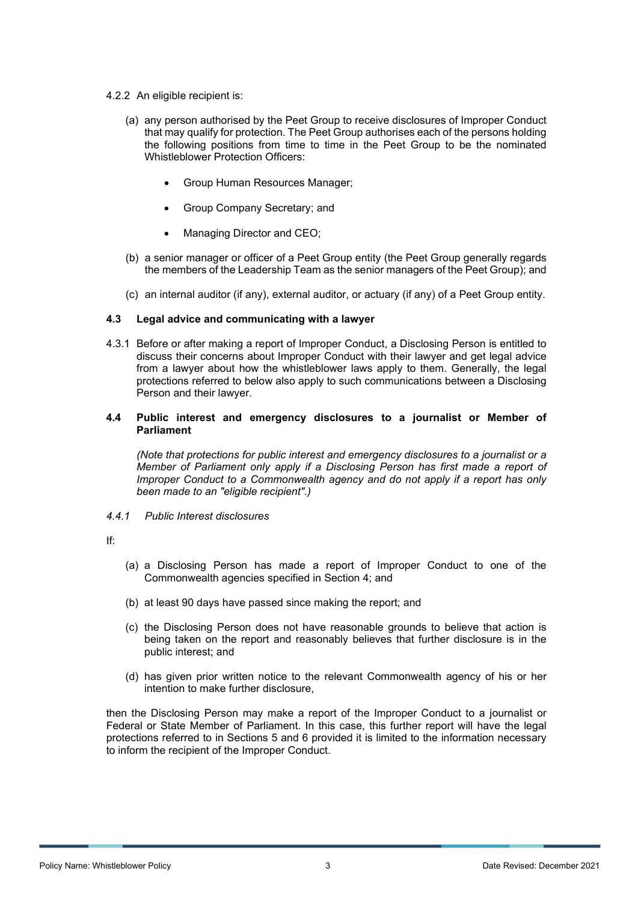- 4.2.2 An eligible recipient is:
	- (a) any person authorised by the Peet Group to receive disclosures of Improper Conduct that may qualify for protection. The Peet Group authorises each of the persons holding the following positions from time to time in the Peet Group to be the nominated Whistleblower Protection Officers:
		- Group Human Resources Manager;
		- Group Company Secretary; and
		- Managing Director and CEO;
	- (b) a senior manager or officer of a Peet Group entity (the Peet Group generally regards the members of the Leadership Team as the senior managers of the Peet Group); and
	- (c) an internal auditor (if any), external auditor, or actuary (if any) of a Peet Group entity.

## **4.3 Legal advice and communicating with a lawyer**

4.3.1 Before or after making a report of Improper Conduct, a Disclosing Person is entitled to discuss their concerns about Improper Conduct with their lawyer and get legal advice from a lawyer about how the whistleblower laws apply to them. Generally, the legal protections referred to below also apply to such communications between a Disclosing Person and their lawyer.

## **4.4 Public interest and emergency disclosures to a journalist or Member of Parliament**

*(Note that protections for public interest and emergency disclosures to a journalist or a Member of Parliament only apply if a Disclosing Person has first made a report of Improper Conduct to a Commonwealth agency and do not apply if a report has only been made to an "eligible recipient".)*

#### *4.4.1 Public Interest disclosures*

If:

- (a) a Disclosing Person has made a report of Improper Conduct to one of the Commonwealth agencies specified in Section 4; and
- (b) at least 90 days have passed since making the report; and
- (c) the Disclosing Person does not have reasonable grounds to believe that action is being taken on the report and reasonably believes that further disclosure is in the public interest; and
- (d) has given prior written notice to the relevant Commonwealth agency of his or her intention to make further disclosure,

then the Disclosing Person may make a report of the Improper Conduct to a journalist or Federal or State Member of Parliament. In this case, this further report will have the legal protections referred to in Sections 5 and 6 provided it is limited to the information necessary to inform the recipient of the Improper Conduct.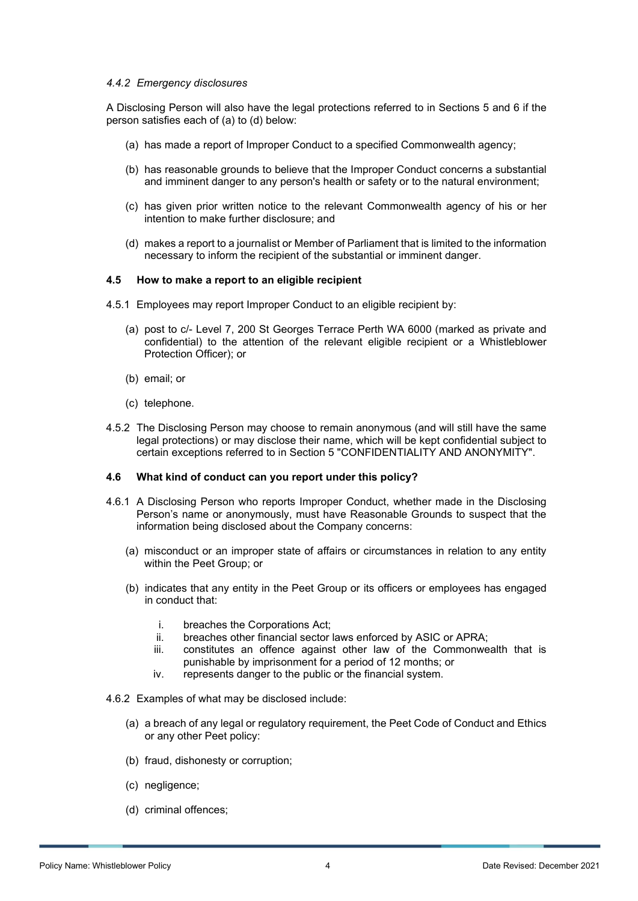#### *4.4.2 Emergency disclosures*

A Disclosing Person will also have the legal protections referred to in Sections 5 and 6 if the person satisfies each of (a) to (d) below:

- (a) has made a report of Improper Conduct to a specified Commonwealth agency;
- (b) has reasonable grounds to believe that the Improper Conduct concerns a substantial and imminent danger to any person's health or safety or to the natural environment;
- (c) has given prior written notice to the relevant Commonwealth agency of his or her intention to make further disclosure; and
- (d) makes a report to a journalist or Member of Parliament that is limited to the information necessary to inform the recipient of the substantial or imminent danger.

## **4.5 How to make a report to an eligible recipient**

- 4.5.1 Employees may report Improper Conduct to an eligible recipient by:
	- (a) post to c/- Level 7, 200 St Georges Terrace Perth WA 6000 (marked as private and confidential) to the attention of the relevant eligible recipient or a Whistleblower Protection Officer); or
	- (b) email; or
	- (c) telephone.
- 4.5.2 The Disclosing Person may choose to remain anonymous (and will still have the same legal protections) or may disclose their name, which will be kept confidential subject to certain exceptions referred to in Section 5 "CONFIDENTIALITY AND ANONYMITY".

#### **4.6 What kind of conduct can you report under this policy?**

- 4.6.1 A Disclosing Person who reports Improper Conduct, whether made in the Disclosing Person's name or anonymously, must have Reasonable Grounds to suspect that the information being disclosed about the Company concerns:
	- (a) misconduct or an improper state of affairs or circumstances in relation to any entity within the Peet Group; or
	- (b) indicates that any entity in the Peet Group or its officers or employees has engaged in conduct that:
		- i. breaches the Corporations Act;
		- ii. breaches other financial sector laws enforced by ASIC or APRA;<br>iii. constitutes an offence against other law of the Commonwe
		- constitutes an offence against other law of the Commonwealth that is punishable by imprisonment for a period of 12 months; or
		- iv. represents danger to the public or the financial system.

#### 4.6.2 Examples of what may be disclosed include:

- (a) a breach of any legal or regulatory requirement, the Peet Code of Conduct and Ethics or any other Peet policy:
- (b) fraud, dishonesty or corruption;
- (c) negligence;
- (d) criminal offences;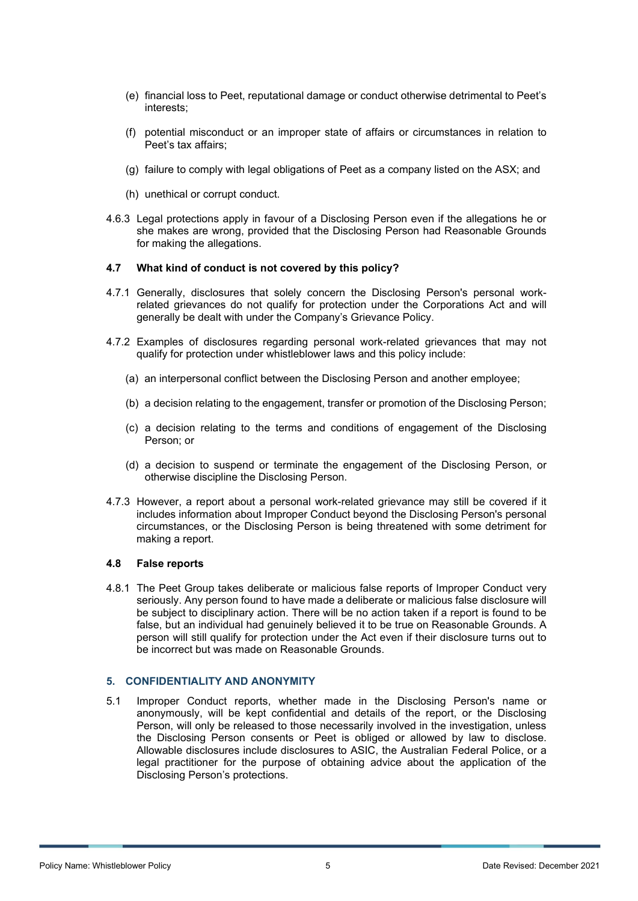- (e) financial loss to Peet, reputational damage or conduct otherwise detrimental to Peet's interests;
- (f) potential misconduct or an improper state of affairs or circumstances in relation to Peet's tax affairs;
- (g) failure to comply with legal obligations of Peet as a company listed on the ASX; and
- (h) unethical or corrupt conduct.
- 4.6.3 Legal protections apply in favour of a Disclosing Person even if the allegations he or she makes are wrong, provided that the Disclosing Person had Reasonable Grounds for making the allegations.

#### **4.7 What kind of conduct is not covered by this policy?**

- 4.7.1 Generally, disclosures that solely concern the Disclosing Person's personal workrelated grievances do not qualify for protection under the Corporations Act and will generally be dealt with under the Company's Grievance Policy.
- 4.7.2 Examples of disclosures regarding personal work-related grievances that may not qualify for protection under whistleblower laws and this policy include:
	- (a) an interpersonal conflict between the Disclosing Person and another employee;
	- (b) a decision relating to the engagement, transfer or promotion of the Disclosing Person;
	- (c) a decision relating to the terms and conditions of engagement of the Disclosing Person; or
	- (d) a decision to suspend or terminate the engagement of the Disclosing Person, or otherwise discipline the Disclosing Person.
- 4.7.3 However, a report about a personal work-related grievance may still be covered if it includes information about Improper Conduct beyond the Disclosing Person's personal circumstances, or the Disclosing Person is being threatened with some detriment for making a report.

#### **4.8 False reports**

4.8.1 The Peet Group takes deliberate or malicious false reports of Improper Conduct very seriously. Any person found to have made a deliberate or malicious false disclosure will be subject to disciplinary action. There will be no action taken if a report is found to be false, but an individual had genuinely believed it to be true on Reasonable Grounds. A person will still qualify for protection under the Act even if their disclosure turns out to be incorrect but was made on Reasonable Grounds.

#### **5. CONFIDENTIALITY AND ANONYMITY**

5.1 Improper Conduct reports, whether made in the Disclosing Person's name or anonymously, will be kept confidential and details of the report, or the Disclosing Person, will only be released to those necessarily involved in the investigation, unless the Disclosing Person consents or Peet is obliged or allowed by law to disclose. Allowable disclosures include disclosures to ASIC, the Australian Federal Police, or a legal practitioner for the purpose of obtaining advice about the application of the Disclosing Person's protections.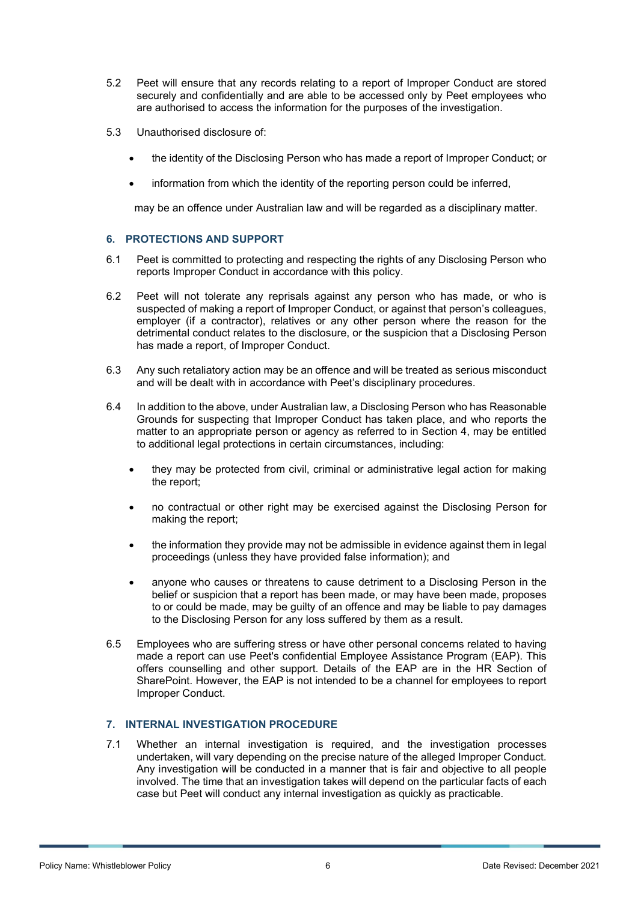- 5.2 Peet will ensure that any records relating to a report of Improper Conduct are stored securely and confidentially and are able to be accessed only by Peet employees who are authorised to access the information for the purposes of the investigation.
- 5.3 Unauthorised disclosure of:
	- the identity of the Disclosing Person who has made a report of Improper Conduct; or
	- information from which the identity of the reporting person could be inferred,

may be an offence under Australian law and will be regarded as a disciplinary matter.

## **6. PROTECTIONS AND SUPPORT**

- 6.1 Peet is committed to protecting and respecting the rights of any Disclosing Person who reports Improper Conduct in accordance with this policy.
- 6.2 Peet will not tolerate any reprisals against any person who has made, or who is suspected of making a report of Improper Conduct, or against that person's colleagues, employer (if a contractor), relatives or any other person where the reason for the detrimental conduct relates to the disclosure, or the suspicion that a Disclosing Person has made a report, of Improper Conduct.
- 6.3 Any such retaliatory action may be an offence and will be treated as serious misconduct and will be dealt with in accordance with Peet's disciplinary procedures.
- 6.4 In addition to the above, under Australian law, a Disclosing Person who has Reasonable Grounds for suspecting that Improper Conduct has taken place, and who reports the matter to an appropriate person or agency as referred to in Section 4, may be entitled to additional legal protections in certain circumstances, including:
	- they may be protected from civil, criminal or administrative legal action for making the report;
	- no contractual or other right may be exercised against the Disclosing Person for making the report;
	- the information they provide may not be admissible in evidence against them in legal proceedings (unless they have provided false information); and
	- anyone who causes or threatens to cause detriment to a Disclosing Person in the belief or suspicion that a report has been made, or may have been made, proposes to or could be made, may be guilty of an offence and may be liable to pay damages to the Disclosing Person for any loss suffered by them as a result.
- 6.5 Employees who are suffering stress or have other personal concerns related to having made a report can use Peet's confidential Employee Assistance Program (EAP). This offers counselling and other support. Details of the EAP are in the HR Section of SharePoint. However, the EAP is not intended to be a channel for employees to report Improper Conduct.

## **7. INTERNAL INVESTIGATION PROCEDURE**

7.1 Whether an internal investigation is required, and the investigation processes undertaken, will vary depending on the precise nature of the alleged Improper Conduct. Any investigation will be conducted in a manner that is fair and objective to all people involved. The time that an investigation takes will depend on the particular facts of each case but Peet will conduct any internal investigation as quickly as practicable.